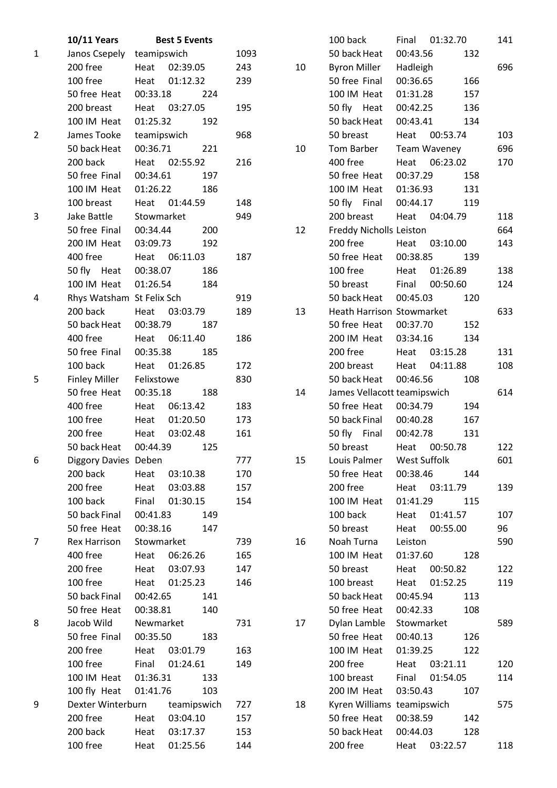|                | <b>10/11 Years</b>        |             | <b>Best 5 Events</b> |      |    | 100 back                    | Final        | 01:32.70     |     | 141 |
|----------------|---------------------------|-------------|----------------------|------|----|-----------------------------|--------------|--------------|-----|-----|
| $\mathbf{1}$   | Janos Csepely             | teamipswich |                      | 1093 |    | 50 back Heat                | 00:43.56     |              | 132 |     |
|                | 200 free                  | Heat        | 02:39.05             | 243  | 10 | <b>Byron Miller</b>         | Hadleigh     |              |     | 696 |
|                | 100 free                  | Heat        | 01:12.32             | 239  |    | 50 free Final               | 00:36.65     |              | 166 |     |
|                | 50 free Heat              | 00:33.18    | 224                  |      |    | 100 IM Heat                 | 01:31.28     |              | 157 |     |
|                | 200 breast                |             | Heat 03:27.05        | 195  |    | 50 fly Heat                 | 00:42.25     |              | 136 |     |
|                | 100 IM Heat               | 01:25.32    | 192                  |      |    | 50 back Heat                | 00:43.41     |              | 134 |     |
| $\overline{2}$ | James Tooke               | teamipswich |                      | 968  |    | 50 breast                   | Heat         | 00:53.74     |     | 103 |
|                | 50 back Heat              | 00:36.71    | 221                  |      | 10 | Tom Barber                  |              | Team Waveney |     | 696 |
|                | 200 back                  | Heat        | 02:55.92             | 216  |    | 400 free                    | Heat         | 06:23.02     |     | 170 |
|                | 50 free Final             | 00:34.61    | 197                  |      |    | 50 free Heat                | 00:37.29     |              | 158 |     |
|                | 100 IM Heat               | 01:26.22    | 186                  |      |    | 100 IM Heat                 | 01:36.93     |              | 131 |     |
|                | 100 breast                | Heat        | 01:44.59             | 148  |    | 50 fly Final                | 00:44.17     |              | 119 |     |
| 3              | Jake Battle               | Stowmarket  |                      | 949  |    | 200 breast                  | Heat         | 04:04.79     |     | 118 |
|                | 50 free Final             | 00:34.44    | 200                  |      | 12 | Freddy Nicholls Leiston     |              |              |     | 664 |
|                | 200 IM Heat               | 03:09.73    | 192                  |      |    | 200 free                    | Heat         | 03:10.00     |     | 143 |
|                | 400 free                  |             | Heat 06:11.03        | 187  |    | 50 free Heat                | 00:38.85     |              | 139 |     |
|                | 50 fly Heat               | 00:38.07    | 186                  |      |    | 100 free                    | Heat         | 01:26.89     |     | 138 |
|                | 100 IM Heat               | 01:26.54    | 184                  |      |    | 50 breast                   | Final        | 00:50.60     |     | 124 |
| 4              | Rhys Watsham St Felix Sch |             |                      | 919  |    | 50 back Heat                | 00:45.03     |              | 120 |     |
|                | 200 back                  | Heat        | 03:03.79             | 189  | 13 | Heath Harrison Stowmarket   |              |              |     | 633 |
|                | 50 back Heat              | 00:38.79    | 187                  |      |    | 50 free Heat                | 00:37.70     |              | 152 |     |
|                | 400 free                  | Heat        | 06:11.40             | 186  |    | 200 IM Heat                 | 03:34.16     |              | 134 |     |
|                | 50 free Final             | 00:35.38    | 185                  |      |    | 200 free                    | Heat         | 03:15.28     |     | 131 |
|                | 100 back                  | Heat        | 01:26.85             | 172  |    | 200 breast                  | Heat         | 04:11.88     |     | 108 |
| 5              | <b>Finley Miller</b>      | Felixstowe  |                      | 830  |    | 50 back Heat                | 00:46.56     |              | 108 |     |
|                | 50 free Heat              | 00:35.18    | 188                  |      | 14 | James Vellacott teamipswich |              |              |     | 614 |
|                | 400 free                  | Heat        | 06:13.42             | 183  |    | 50 free Heat                | 00:34.79     |              | 194 |     |
|                | 100 free                  | Heat        | 01:20.50             | 173  |    | 50 back Final               | 00:40.28     |              | 167 |     |
|                | 200 free                  | Heat        | 03:02.48             | 161  |    | 50 fly Final                | 00:42.78     |              | 131 |     |
|                | 50 back Heat              | 00:44.39    | 125                  |      |    | 50 breast                   | Heat         | 00:50.78     |     | 122 |
| 6              | Diggory Davies Deben      |             |                      | 777  | 15 | Louis Palmer                | West Suffolk |              |     | 601 |
|                | 200 back                  | Heat        | 03:10.38             | 170  |    | 50 free Heat                | 00:38.46     |              | 144 |     |
|                | 200 free                  | Heat        | 03:03.88             | 157  |    | 200 free                    | Heat         | 03:11.79     |     | 139 |
|                | 100 back                  | Final       | 01:30.15             | 154  |    | 100 IM Heat                 | 01:41.29     |              | 115 |     |
|                | 50 back Final             | 00:41.83    | 149                  |      |    | 100 back                    | Heat         | 01:41.57     |     | 107 |
|                | 50 free Heat              | 00:38.16    | 147                  |      |    | 50 breast                   | Heat         | 00:55.00     |     | 96  |
| $\overline{7}$ | <b>Rex Harrison</b>       | Stowmarket  |                      | 739  | 16 | Noah Turna                  | Leiston      |              |     | 590 |
|                | 400 free                  | Heat        | 06:26.26             | 165  |    | 100 IM Heat                 | 01:37.60     |              | 128 |     |
|                | 200 free                  | Heat        | 03:07.93             | 147  |    | 50 breast                   | Heat         | 00:50.82     |     | 122 |
|                | 100 free                  | Heat        | 01:25.23             | 146  |    | 100 breast                  | Heat         | 01:52.25     |     | 119 |
|                | 50 back Final             | 00:42.65    | 141                  |      |    | 50 back Heat                | 00:45.94     |              | 113 |     |
|                | 50 free Heat              | 00:38.81    | 140                  |      |    | 50 free Heat                | 00:42.33     |              | 108 |     |
| 8              | Jacob Wild                | Newmarket   |                      | 731  | 17 | Dylan Lamble                | Stowmarket   |              |     | 589 |
|                | 50 free Final             | 00:35.50    | 183                  |      |    | 50 free Heat                | 00:40.13     |              | 126 |     |
|                | 200 free                  | Heat        | 03:01.79             | 163  |    | 100 IM Heat                 | 01:39.25     |              | 122 |     |
|                | 100 free                  | Final       | 01:24.61             | 149  |    | 200 free                    | Heat         | 03:21.11     |     | 120 |
|                | 100 IM Heat               | 01:36.31    | 133                  |      |    | 100 breast                  | Final        | 01:54.05     |     | 114 |
|                | 100 fly Heat              | 01:41.76    | 103                  |      |    | 200 IM Heat                 | 03:50.43     |              | 107 |     |
| 9              | Dexter Winterburn         |             | teamipswich          | 727  | 18 | Kyren Williams teamipswich  |              |              |     | 575 |
|                | 200 free                  | Heat        | 03:04.10             | 157  |    | 50 free Heat                | 00:38.59     |              | 142 |     |
|                | 200 back                  | Heat        | 03:17.37             | 153  |    | 50 back Heat                | 00:44.03     |              | 128 |     |
|                | 100 free                  | Heat        | 01:25.56             | 144  |    | 200 free                    | Heat         | 03:22.57     |     | 118 |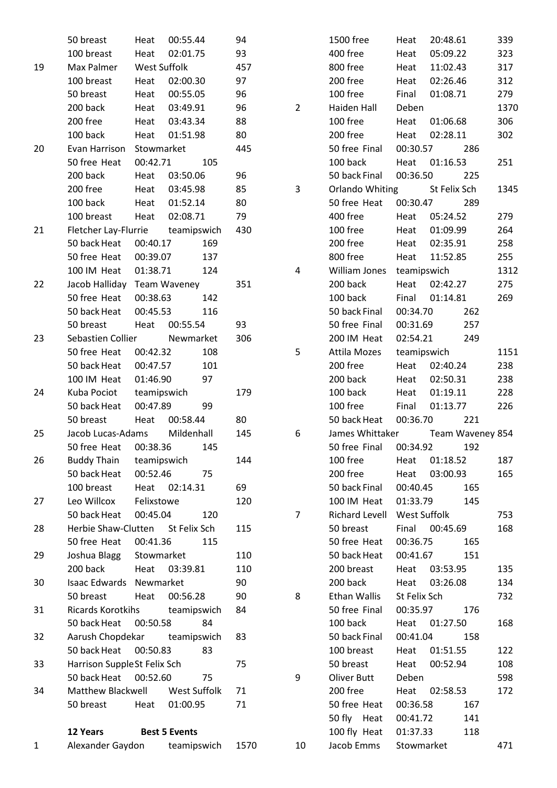|              | 50 breast                           | Heat               | 00:55.44             | 94   |                | 1500 free                  | Heat                | 20:48.61     |                         | 339        |
|--------------|-------------------------------------|--------------------|----------------------|------|----------------|----------------------------|---------------------|--------------|-------------------------|------------|
|              | 100 breast                          | Heat               | 02:01.75             | 93   |                | 400 free                   | Heat                | 05:09.22     |                         | 323        |
| 19           | Max Palmer                          | West Suffolk       |                      | 457  |                | 800 free                   | Heat                | 11:02.43     |                         | 317        |
|              | 100 breast                          | Heat               | 02:00.30             | 97   |                | 200 free                   | Heat                | 02:26.46     |                         | 312        |
|              | 50 breast                           | Heat               | 00:55.05             | 96   |                | 100 free                   | Final               | 01:08.71     |                         | 279        |
|              | 200 back                            | Heat               | 03:49.91             | 96   | $\overline{2}$ | Haiden Hall                | Deben               |              |                         | 1370       |
|              | 200 free                            | Heat               | 03:43.34             | 88   |                | 100 free                   | Heat                | 01:06.68     |                         | 306        |
|              | 100 back                            | Heat               | 01:51.98             | 80   |                | 200 free                   | Heat                | 02:28.11     |                         | 302        |
| 20           | Evan Harrison                       | Stowmarket         |                      | 445  |                | 50 free Final              | 00:30.57            |              | 286                     |            |
|              | 50 free Heat                        | 00:42.71           | 105                  |      |                | 100 back                   | Heat                | 01:16.53     |                         | 251        |
|              | 200 back                            | Heat               | 03:50.06             | 96   |                | 50 back Final              | 00:36.50            |              | 225                     |            |
|              | 200 free                            | Heat               | 03:45.98             | 85   | 3              | Orlando Whiting            |                     | St Felix Sch |                         | 1345       |
|              | 100 back                            | Heat               | 01:52.14             | 80   |                | 50 free Heat               | 00:30.47            |              | 289                     |            |
|              | 100 breast                          | Heat               | 02:08.71             | 79   |                | 400 free                   | Heat                | 05:24.52     |                         | 279        |
| 21           | Fletcher Lay-Flurrie                |                    | teamipswich          | 430  |                | 100 free                   | Heat                | 01:09.99     |                         | 264        |
|              | 50 back Heat                        | 00:40.17           | 169                  |      |                | 200 free                   | Heat                | 02:35.91     |                         | 258        |
|              | 50 free Heat                        | 00:39.07           | 137                  |      |                | 800 free                   | Heat                | 11:52.85     |                         | 255        |
|              | 100 IM Heat                         | 01:38.71           | 124                  |      | 4              | William Jones              | teamipswich         |              |                         | 1312       |
| 22           | Jacob Halliday                      |                    | <b>Team Waveney</b>  | 351  |                | 200 back                   | Heat                | 02:42.27     |                         | 275        |
|              | 50 free Heat                        | 00:38.63           | 142                  |      |                | 100 back                   | Final               | 01:14.81     |                         | 269        |
|              | 50 back Heat                        | 00:45.53           | 116                  |      |                | 50 back Final              | 00:34.70            |              | 262                     |            |
|              | 50 breast                           | Heat               | 00:55.54             | 93   |                | 50 free Final              | 00:31.69            |              | 257                     |            |
| 23           | Sebastien Collier                   |                    | Newmarket            | 306  |                | 200 IM Heat                | 02:54.21            |              | 249                     |            |
|              | 50 free Heat                        | 00:42.32           | 108                  |      | 5              | Attila Mozes               | teamipswich         |              |                         | 1151       |
|              | 50 back Heat                        | 00:47.57           | 101                  |      |                | 200 free                   | Heat                | 02:40.24     |                         | 238        |
|              | 100 IM Heat                         | 01:46.90           | 97                   |      |                | 200 back                   | Heat                | 02:50.31     |                         | 238        |
| 24           | Kuba Pociot                         | teamipswich        |                      | 179  |                | 100 back                   | Heat                | 01:19.11     |                         | 228        |
|              | 50 back Heat                        | 00:47.89           | 99                   |      |                | 100 free                   | Final               | 01:13.77     |                         | 226        |
|              | 50 breast                           | Heat               | 00:58.44             | 80   |                | 50 back Heat               | 00:36.70            |              | 221                     |            |
| 25           | Jacob Lucas-Adams                   |                    | Mildenhall           | 145  | 6              | James Whittaker            |                     |              |                         |            |
|              | 50 free Heat                        | 00:38.36           | 145                  |      |                | 50 free Final              | 00:34.92            |              | Team Waveney 854<br>192 |            |
| 26           | <b>Buddy Thain</b>                  | teamipswich        |                      | 144  |                | 100 free                   |                     | 01:18.52     |                         | 187        |
|              | 50 back Heat                        | 00:52.46           | 75                   |      |                | 200 free                   | Heat                | 03:00.93     |                         |            |
|              | 100 breast                          |                    | 02:14.31             | 69   |                | 50 back Final              | Heat<br>00:40.45    |              | 165                     | 165        |
|              |                                     | Heat<br>Felixstowe |                      |      |                |                            |                     |              |                         |            |
| 27           | Leo Willcox                         |                    |                      | 120  |                | 100 IM Heat                | 01:33.79            |              | 145                     |            |
|              | 50 back Heat<br>Herbie Shaw-Clutten | 00:45.04           | 120                  |      | $\overline{7}$ | Richard Levell             | <b>West Suffolk</b> | 00:45.69     |                         | 753<br>168 |
| 28           | 50 free Heat                        | 00:41.36           | St Felix Sch<br>115  | 115  |                | 50 breast<br>50 free Heat  | Final<br>00:36.75   |              | 165                     |            |
|              |                                     |                    |                      |      |                |                            |                     |              | 151                     |            |
| 29           | Joshua Blagg                        | Stowmarket         |                      | 110  |                | 50 back Heat<br>200 breast | 00:41.67            |              |                         |            |
|              | 200 back                            | Heat               | 03:39.81             | 110  |                |                            | Heat                | 03:53.95     |                         | 135        |
| 30           | Isaac Edwards                       | Newmarket          |                      | 90   |                | 200 back                   | Heat                | 03:26.08     |                         | 134        |
|              | 50 breast                           | Heat               | 00:56.28             | 90   | 8              | Ethan Wallis               | St Felix Sch        |              |                         | 732        |
| 31           | Ricards Korotkihs                   |                    | teamipswich          | 84   |                | 50 free Final              | 00:35.97            |              | 176                     |            |
|              | 50 back Heat                        | 00:50.58           | 84                   |      |                | 100 back                   | Heat                | 01:27.50     |                         | 168        |
| 32           | Aarush Chopdekar                    |                    | teamipswich          | 83   |                | 50 back Final              | 00:41.04            |              | 158                     |            |
|              | 50 back Heat                        | 00:50.83           | 83                   |      |                | 100 breast                 | Heat                | 01:51.55     |                         | 122        |
| 33           | Harrison SuppleSt Felix Sch         |                    |                      | 75   |                | 50 breast                  | Heat                | 00:52.94     |                         | 108        |
|              | 50 back Heat                        | 00:52.60           | 75                   |      | 9              | Oliver Butt                | Deben               |              |                         | 598        |
| 34           | Matthew Blackwell                   |                    | West Suffolk         | 71   |                | 200 free                   | Heat                | 02:58.53     |                         | 172        |
|              | 50 breast                           | Heat               | 01:00.95             | 71   |                | 50 free Heat               | 00:36.58            |              | 167                     |            |
|              |                                     |                    |                      |      |                | 50 fly Heat                | 00:41.72            |              | 141                     |            |
|              | 12 Years                            |                    | <b>Best 5 Events</b> |      |                | 100 fly Heat               | 01:37.33            |              | 118                     |            |
| $\mathbf{1}$ | Alexander Gaydon                    |                    | teamipswich          | 1570 | 10             | Jacob Emms                 | Stowmarket          |              |                         | 471        |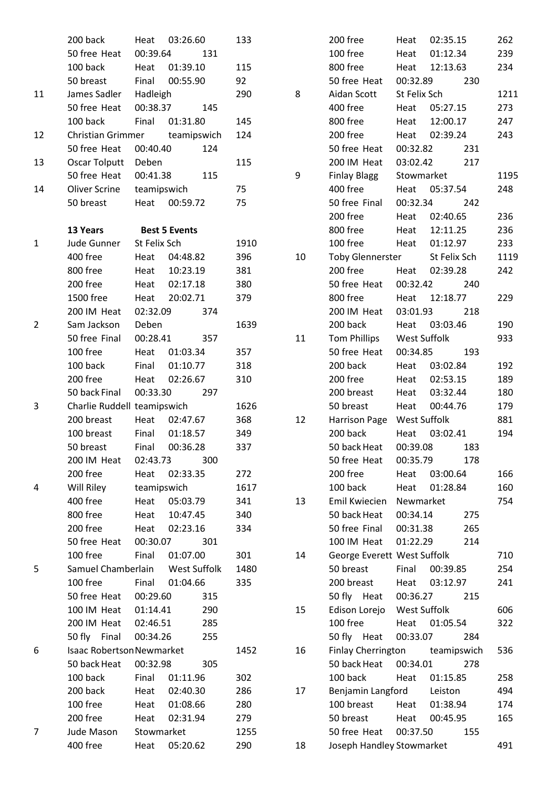|                | 200 back                         | Heat         | 03:26.60             | 133  |    | 200 free              |
|----------------|----------------------------------|--------------|----------------------|------|----|-----------------------|
|                | 50 free Heat                     | 00:39.64     | 131                  |      |    | 100 free              |
|                | 100 back                         | Heat         | 01:39.10             | 115  |    | 800 free              |
|                | 50 breast                        | Final        | 00:55.90             | 92   |    | 50 free Heat          |
| 11             | James Sadler                     | Hadleigh     |                      | 290  | 8  | Aidan Scott           |
|                | 50 free Heat                     | 00:38.37     | 145                  |      |    | 400 free              |
|                | 100 back                         | Final        | 01:31.80             | 145  |    | 800 free              |
| 12             | Christian Grimmer                |              | teamipswich          | 124  |    | 200 free              |
|                | 50 free Heat                     | 00:40.40     | 124                  |      |    | 50 free Heat          |
| 13             | Oscar Tolputt                    | Deben        |                      | 115  |    | 200 IM Heat           |
|                | 50 free Heat                     | 00:41.38     | 115                  |      | 9  | <b>Finlay Blagg</b>   |
| 14             | Oliver Scrine                    | teamipswich  |                      | 75   |    | 400 free              |
|                | 50 breast                        | Heat         | 00:59.72             | 75   |    | 50 free Final         |
|                |                                  |              |                      |      |    | 200 free              |
|                | 13 Years                         |              | <b>Best 5 Events</b> |      |    | 800 free              |
| 1              | Jude Gunner                      | St Felix Sch |                      | 1910 |    | 100 free              |
|                | 400 free                         | Heat         | 04:48.82             | 396  | 10 | <b>Toby Glenner</b>   |
|                | 800 free                         | Heat         | 10:23.19             | 381  |    | 200 free              |
|                | 200 free                         | Heat         | 02:17.18             | 380  |    | 50 free Heat          |
|                | 1500 free                        | Heat         | 20:02.71             | 379  |    | 800 free              |
|                | 200 IM Heat                      | 02:32.09     | 374                  |      |    | 200 IM Heat           |
| $\overline{2}$ | Sam Jackson                      | Deben        |                      | 1639 |    | 200 back              |
|                | 50 free Final                    | 00:28.41     | 357                  |      | 11 | <b>Tom Phillips</b>   |
|                | 100 free                         | Heat         | 01:03.34             | 357  |    | 50 free Heat          |
|                | 100 back                         | Final        | 01:10.77             | 318  |    | 200 back              |
|                | 200 free                         | Heat         | 02:26.67             | 310  |    | 200 free              |
|                | 50 back Final                    | 00:33.30     | 297                  |      |    | 200 breast            |
| 3              | Charlie Ruddell teamipswich      |              |                      | 1626 |    | 50 breast             |
|                | 200 breast                       | Heat         | 02:47.67             | 368  | 12 | Harrison Pago         |
|                | 100 breast                       | Final        | 01:18.57             | 349  |    | 200 back              |
|                | 50 breast                        | Final        | 00:36.28             | 337  |    | 50 back Heat          |
|                | 200 IM Heat                      | 02:43.73     | 300                  |      |    | 50 free Heat          |
|                | 200 free                         | Heat         | 02:33.35             | 272  |    | 200 free              |
| 4              | Will Riley                       | teamipswich  |                      | 1617 |    | 100 back              |
|                | 400 free                         | Heat         | 05:03.79             | 341  | 13 | Emil Kwiecier         |
|                | 800 free                         | Heat         | 10:47.45             | 340  |    | 50 back Heat          |
|                | 200 free                         | Heat         | 02:23.16             | 334  |    | 50 free Final         |
|                | 50 free Heat                     | 00:30.07     | 301                  |      |    | 100 IM Heat           |
|                | 100 free                         | Final        | 01:07.00             | 301  | 14 | George Evere          |
| 5              | Samuel Chamberlain               |              | West Suffolk         | 1480 |    | 50 breast             |
|                | 100 free                         | Final        | 01:04.66             | 335  |    | 200 breast            |
|                | 50 free Heat                     | 00:29.60     | 315                  |      |    | 50 fly Heat           |
|                | 100 IM Heat                      | 01:14.41     | 290                  |      | 15 | Edison Lorejo         |
|                | 200 IM Heat                      | 02:46.51     | 285                  |      |    | 100 free              |
|                | 50 fly<br>Final                  | 00:34.26     | 255                  |      |    | 50 fly Heat           |
| 6              | <b>Isaac Robertson Newmarket</b> |              |                      | 1452 | 16 | <b>Finlay Cherrin</b> |
|                | 50 back Heat                     | 00:32.98     | 305                  |      |    | 50 back Heat          |
|                | 100 back                         | Final        | 01:11.96             | 302  |    | 100 back              |
|                | 200 back                         | Heat         | 02:40.30             | 286  | 17 | Benjamin Lar          |
|                | 100 free                         |              | 01:08.66             | 280  |    | 100 breast            |
|                | 200 free                         | Heat<br>Heat | 02:31.94             |      |    | 50 breast             |
| 7              | Jude Mason                       |              |                      | 279  |    | 50 free Heat          |
|                |                                  | Stowmarket   |                      | 1255 |    |                       |
|                | 400 free                         | Heat         | 05:20.62             | 290  | 18 | Joseph Handl          |

|    | 200 free                      | Heat      | 02:35.15                       | 262  |
|----|-------------------------------|-----------|--------------------------------|------|
|    | 100 free                      |           | Heat 01:12.34                  | 239  |
|    | 800 free                      |           | Heat 12:13.63                  | 234  |
|    | 50 free Heat 00:32.89         |           | 230                            |      |
| 8  | Aidan Scott St Felix Sch      |           |                                | 1211 |
|    | 400 free                      |           | Heat 05:27.15                  | 273  |
|    | 800 free                      |           | Heat 12:00.17                  | 247  |
|    | 200 free                      |           | Heat 02:39.24                  | 243  |
|    | 50 free Heat                  | 00:32.82  | 231                            |      |
|    | 200 IM Heat 03:02.42          |           | 217                            |      |
| 9  | Finlay Blagg Stowmarket       |           |                                | 1195 |
|    | 400 free                      |           | Heat 05:37.54                  | 248  |
|    | 50 free Final 00:32.34 242    |           |                                |      |
|    | 200 free                      |           | Heat 02:40.65                  | 236  |
|    | 800 free                      |           | Heat 12:11.25                  | 236  |
|    | 100 free                      |           | Heat 01:12.97                  | 233  |
| 10 | Toby Glennerster St Felix Sch |           |                                | 1119 |
|    | 200 free Heat 02:39.28        |           |                                | 242  |
|    | 50 free Heat 00:32.42 240     |           |                                |      |
|    | 800 free                      |           | Heat 12:18.77                  | 229  |
|    | 200 IM Heat 03:01.93 218      |           |                                |      |
|    | 200 back                      |           | Heat 03:03.46                  | 190  |
| 11 |                               |           |                                | 933  |
|    | 50 free Heat 00:34.85         |           | 193                            |      |
|    | 200 back                      |           | Heat 03:02.84                  | 192  |
|    | 200 free                      |           | Heat 02:53.15                  | 189  |
|    | 200 breast                    |           | Heat 03:32.44                  | 180  |
|    | 50 breast                     |           | Heat 00:44.76                  | 179  |
| 12 | Harrison Page West Suffolk    |           |                                | 881  |
|    | 200 back                      |           | Heat 03:02.41                  | 194  |
|    | 50 back Heat                  |           | 00:39.08<br>183                |      |
|    | 50 free Heat                  | 00:35.79  | 178                            |      |
|    | 200 free                      |           | Heat 03:00.64                  | 166  |
|    | 100 back                      |           | Heat 01:28.84                  | 160  |
| 13 | Emil Kwiecien                 | Newmarket |                                | 754  |
|    | 50 back Heat                  | 00:34.14  | 275                            |      |
|    | 50 free Final 00:31.38        |           | 265                            |      |
|    | 100 IM Heat 01:22.29          |           | 214                            |      |
| 14 | George Everett West Suffolk   |           |                                | 710  |
|    | 50 breast                     | Final     | 00:39.85                       | 254  |
|    | 200 breast                    |           | Heat 03:12.97                  | 241  |
|    | 50 fly Heat 00:36.27          |           | 215                            |      |
| 15 | Edison Lorejo West Suffolk    |           |                                | 606  |
|    | 100 free                      |           | Heat 01:05.54                  | 322  |
|    | 50 fly Heat                   | 00:33.07  | 284                            |      |
| 16 |                               |           | Finlay Cherrington teamipswich | 536  |
|    | 50 back Heat                  | 00:34.01  | 278                            |      |
|    | 100 back                      |           | Heat 01:15.85                  | 258  |
| 17 | Benjamin Langford Leiston     |           |                                | 494  |
|    | 100 breast                    |           | Heat 01:38.94                  | 174  |
|    | 50 breast                     |           | Heat 00:45.95                  | 165  |
|    | 50 free Heat 00:37.50         |           | 155                            |      |
| 18 | Joseph Handley Stowmarket     |           |                                | 491  |
|    |                               |           |                                |      |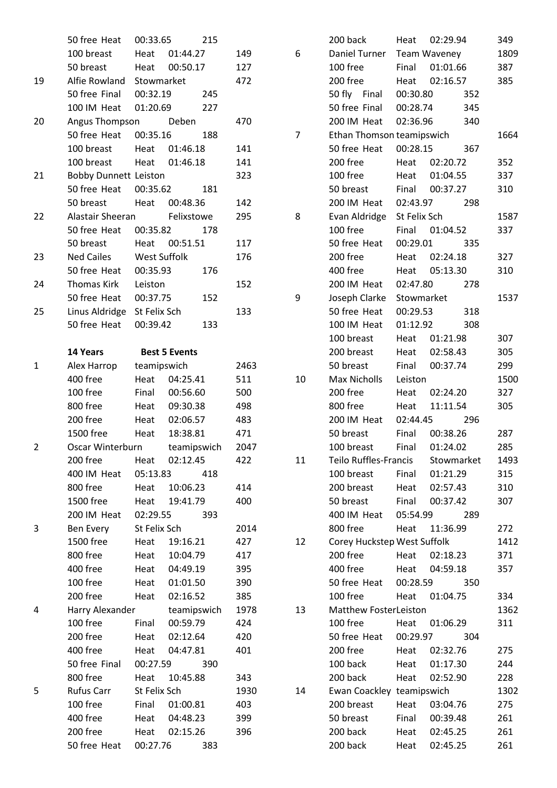|              | 50 free Heat                 | 00:33.65     | 215                  |      |                | 200 back                      | Heat         | 02:29.94     | 349  |
|--------------|------------------------------|--------------|----------------------|------|----------------|-------------------------------|--------------|--------------|------|
|              | 100 breast                   | Heat         | 01:44.27             | 149  | 6              | Daniel Turner                 |              | Team Waveney | 1809 |
|              | 50 breast                    | Heat         | 00:50.17             | 127  |                | 100 free                      | Final        | 01:01.66     | 387  |
| 19           | Alfie Rowland                | Stowmarket   |                      | 472  |                | 200 free                      | Heat         | 02:16.57     | 385  |
|              | 50 free Final                | 00:32.19     | 245                  |      |                | 50 fly Final                  | 00:30.80     | 352          |      |
|              | 100 IM Heat                  | 01:20.69     | 227                  |      |                | 50 free Final                 | 00:28.74     | 345          |      |
| 20           | Angus Thompson               |              | Deben                | 470  |                | 200 IM Heat                   | 02:36.96     | 340          |      |
|              | 50 free Heat                 | 00:35.16     | 188                  |      | $\overline{7}$ | Ethan Thomson teamipswich     |              |              | 1664 |
|              | 100 breast                   | Heat         | 01:46.18             | 141  |                | 50 free Heat                  | 00:28.15     | 367          |      |
|              | 100 breast                   | Heat         | 01:46.18             | 141  |                | 200 free                      | Heat         | 02:20.72     | 352  |
| 21           | <b>Bobby Dunnett Leiston</b> |              |                      | 323  |                | 100 free                      | Heat         | 01:04.55     | 337  |
|              | 50 free Heat                 | 00:35.62     | 181                  |      |                | 50 breast                     | Final        | 00:37.27     | 310  |
|              | 50 breast                    | Heat         | 00:48.36             | 142  |                | 200 IM Heat                   | 02:43.97     | 298          |      |
| 22           | Alastair Sheeran             |              | Felixstowe           | 295  | 8              | Evan Aldridge                 | St Felix Sch |              | 1587 |
|              | 50 free Heat                 | 00:35.82     | 178                  |      |                | 100 free                      | Final        | 01:04.52     | 337  |
|              | 50 breast                    | Heat         | 00:51.51             | 117  |                | 50 free Heat                  | 00:29.01     | 335          |      |
| 23           | <b>Ned Cailes</b>            | West Suffolk |                      | 176  |                | 200 free                      | Heat         | 02:24.18     | 327  |
|              | 50 free Heat                 | 00:35.93     | 176                  |      |                | 400 free                      | Heat         | 05:13.30     | 310  |
| 24           | Thomas Kirk                  | Leiston      |                      | 152  |                | 200 IM Heat                   | 02:47.80     | 278          |      |
|              | 50 free Heat                 | 00:37.75     | 152                  |      | 9              |                               | Stowmarket   |              | 1537 |
| 25           |                              |              |                      | 133  |                | Joseph Clarke<br>50 free Heat | 00:29.53     | 318          |      |
|              | Linus Aldridge St Felix Sch  |              |                      |      |                |                               |              |              |      |
|              | 50 free Heat                 | 00:39.42     | 133                  |      |                | 100 IM Heat                   | 01:12.92     | 308          |      |
|              |                              |              |                      |      |                | 100 breast                    | Heat         | 01:21.98     | 307  |
|              | 14 Years                     |              | <b>Best 5 Events</b> |      |                | 200 breast                    | Heat         | 02:58.43     | 305  |
| $\mathbf{1}$ | Alex Harrop                  | teamipswich  |                      | 2463 |                | 50 breast                     | Final        | 00:37.74     | 299  |
|              | 400 free                     | Heat         | 04:25.41             | 511  | 10             | Max Nicholls                  | Leiston      |              | 1500 |
|              | 100 free                     | Final        | 00:56.60             | 500  |                | 200 free                      | Heat         | 02:24.20     | 327  |
|              | 800 free                     | Heat         | 09:30.38             | 498  |                | 800 free                      | Heat         | 11:11.54     | 305  |
|              | 200 free                     | Heat         | 02:06.57             | 483  |                | 200 IM Heat                   | 02:44.45     | 296          |      |
|              | 1500 free                    | Heat         | 18:38.81             | 471  |                | 50 breast                     | Final        | 00:38.26     | 287  |
| 2            | Oscar Winterburn             |              | teamipswich          | 2047 |                | 100 breast                    | Final        | 01:24.02     | 285  |
|              | 200 free                     | Heat         | 02:12.45             | 422  | 11             | Teilo Ruffles-Francis         |              | Stowmarket   | 1493 |
|              | 400 IM Heat                  | 05:13.83     | 418                  |      |                | 100 breast                    | Final        | 01:21.29     | 315  |
|              | 800 free                     | Heat         | 10:06.23             | 414  |                | 200 breast                    | Heat         | 02:57.43     | 310  |
|              | 1500 free                    | Heat         | 19:41.79             | 400  |                | 50 breast                     | Final        | 00:37.42     | 307  |
|              | 200 IM Heat                  | 02:29.55     | 393                  |      |                | 400 IM Heat                   | 05:54.99     | 289          |      |
| 3            | Ben Every                    | St Felix Sch |                      | 2014 |                | 800 free                      | Heat         | 11:36.99     | 272  |
|              | 1500 free                    | Heat         | 19:16.21             | 427  | 12             | Corey Huckstep West Suffolk   |              |              | 1412 |
|              | 800 free                     | Heat         | 10:04.79             | 417  |                | 200 free                      | Heat         | 02:18.23     | 371  |
|              | 400 free                     | Heat         | 04:49.19             | 395  |                | 400 free                      | Heat         | 04:59.18     | 357  |
|              | 100 free                     | Heat         | 01:01.50             | 390  |                | 50 free Heat                  | 00:28.59     | 350          |      |
|              | 200 free                     | Heat         | 02:16.52             | 385  |                | 100 free                      | Heat         | 01:04.75     | 334  |
| 4            | Harry Alexander              |              | teamipswich          | 1978 | 13             | Matthew FosterLeiston         |              |              | 1362 |
|              | 100 free                     | Final        | 00:59.79             | 424  |                | 100 free                      | Heat         | 01:06.29     | 311  |
|              | 200 free                     | Heat         | 02:12.64             | 420  |                | 50 free Heat                  | 00:29.97     | 304          |      |
|              | 400 free                     | Heat         | 04:47.81             | 401  |                | 200 free                      | Heat         | 02:32.76     | 275  |
|              | 50 free Final                | 00:27.59     | 390                  |      |                | 100 back                      | Heat         | 01:17.30     | 244  |
|              | 800 free                     | Heat         | 10:45.88             | 343  |                | 200 back                      | Heat         | 02:52.90     | 228  |
| 5            | Rufus Carr                   | St Felix Sch |                      | 1930 | 14             | Ewan Coackley teamipswich     |              |              | 1302 |
|              | 100 free                     | Final        | 01:00.81             | 403  |                | 200 breast                    | Heat         | 03:04.76     | 275  |
|              | 400 free                     | Heat         | 04:48.23             | 399  |                | 50 breast                     | Final        | 00:39.48     | 261  |
|              | 200 free                     | Heat         | 02:15.26             | 396  |                | 200 back                      | Heat         | 02:45.25     | 261  |
|              | 50 free Heat                 | 00:27.76     | 383                  |      |                | 200 back                      | Heat         | 02:45.25     | 261  |
|              |                              |              |                      |      |                |                               |              |              |      |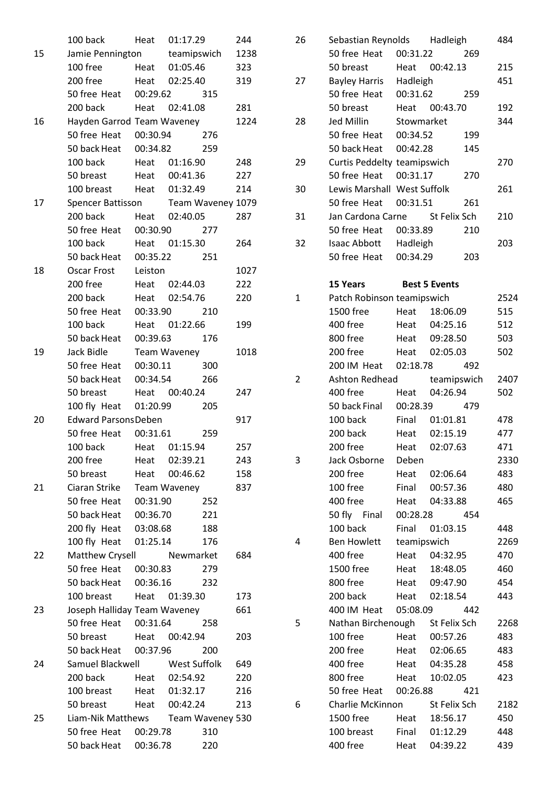|    | 100 back                            | Heat     | 01:17.29      |     | 244  |
|----|-------------------------------------|----------|---------------|-----|------|
| 15 | Jamie Pennington teamipswich        |          |               |     | 1238 |
|    | 100 free Heat 01:05.46              |          |               |     | 323  |
|    | 200 free Heat 02:25.40              |          |               |     | 319  |
|    | 50 free Heat 00:29.62               |          |               | 315 |      |
|    | 200 back                            |          | Heat 02:41.08 |     | 281  |
| 16 | Hayden Garrod Team Waveney          |          |               |     | 1224 |
|    | 50 free Heat 00:30.94               |          |               | 276 |      |
|    | 50 back Heat 00:34.82               |          |               | 259 |      |
|    | 100 back Heat 01:16.90              |          |               |     | 248  |
|    | 50 breast Heat 00:41.36             |          |               |     | 227  |
|    | 100 breast Heat 01:32.49            |          |               |     | 214  |
| 17 | Spencer Battisson Team Waveney 1079 |          |               |     |      |
|    | 200 back                            |          | Heat 02:40.05 |     | 287  |
|    | 50 free Heat                        |          | 00:30.90      | 277 |      |
|    | 100 back Heat 01:15.30              |          |               |     | 264  |
|    | 50 back Heat  00:35.22              |          |               | 251 |      |
| 18 | Oscar Frost Leiston                 |          |               |     | 1027 |
|    | 200 free                            |          | Heat 02:44.03 |     | 222  |
|    | 200 back                            |          | Heat 02:54.76 |     | 220  |
|    | 50 free Heat                        |          | 00:33.90      | 210 |      |
|    | 100 back                            |          | Heat 01:22.66 |     | 199  |
|    | 50 back Heat                        | 00:39.63 |               | 176 |      |
| 19 | Jack Bidle                          |          | Team Waveney  |     | 1018 |
|    | 50 free Heat 00:30.11               |          |               | 300 |      |
|    | 50 back Heat 00:34.54               |          |               | 266 |      |
|    | 50 breast                           |          | Heat 00:40.24 |     | 247  |
|    | 100 fly Heat 01:20.99               |          |               | 205 |      |
| 20 | <b>Edward ParsonsDeben</b>          |          |               |     | 917  |
|    | 50 free Heat 00:31.61               |          |               | 259 |      |
|    | 100 back Heat 01:15.94              |          |               |     | 257  |
|    | 200 free                            | Heat     | 02:39.21      |     | 243  |
|    | 50 breast                           | Heat     | 00:46.62      |     | 158  |
| 21 | Ciaran Strike                       |          | Team Waveney  |     | 837  |
|    | 50 free Heat                        | 00:31.90 |               | 252 |      |
|    | 50 back Heat                        | 00:36.70 |               | 221 |      |
|    | 200 fly Heat                        | 03:08.68 |               | 188 |      |
|    | 100 fly Heat                        | 01:25.14 |               | 176 |      |
| 22 | Matthew Crysell                     |          | Newmarket     |     | 684  |
|    | 50 free Heat                        | 00:30.83 |               | 279 |      |
|    | 50 back Heat 00:36.16               |          |               | 232 |      |
|    | 100 breast Heat 01:39.30            |          |               |     | 173  |
| 23 | Joseph Halliday Team Waveney        |          |               |     | 661  |
|    | 50 free Heat 00:31.64               |          |               | 258 |      |
|    | 50 breast Heat 00:42.94             |          |               |     | 203  |
|    | 50 back Heat 00:37.96               |          |               | 200 |      |
| 24 | Samuel Blackwell West Suffolk       |          |               |     | 649  |
|    | 200 back                            |          | Heat 02:54.92 |     | 220  |
|    | 100 breast                          |          | Heat 01:32.17 |     | 216  |
|    | 50 breast                           |          | Heat 00:42.24 |     | 213  |
| 25 | Liam-Nik Matthews Team Waveney 530  |          |               |     |      |
|    | 50 free Heat 00:29.78               |          |               | 310 |      |
|    | 50 back Heat 00:36.78               |          |               | 220 |      |

| 26 | Sebastian Reynolds Hadleigh    |             |                      |             | 484  |
|----|--------------------------------|-------------|----------------------|-------------|------|
|    | 50 free Heat 00:31.22          |             |                      | 269         |      |
|    | 50 breast                      |             | Heat 00:42.13        |             | 215  |
| 27 | <b>Bayley Harris</b>           | Hadleigh    |                      |             | 451  |
|    | 50 free Heat                   | 00:31.62    |                      | 259         |      |
|    | 50 breast                      | Heat        | 00:43.70             |             | 192  |
| 28 | Jed Millin                     | Stowmarket  |                      |             | 344  |
|    | 50 free Heat 00:34.52          |             |                      | 199         |      |
|    | 50 back Heat                   | 00:42.28    |                      | 145         |      |
| 29 | Curtis Peddelty teamipswich    |             |                      |             | 270  |
|    | 50 free Heat                   | 00:31.17    |                      | 270         |      |
| 30 | Lewis Marshall West Suffolk    |             |                      |             | 261  |
|    | 50 free Heat                   |             | 00:31.51             | 261         |      |
| 31 | Jan Cardona Carne St Felix Sch |             |                      |             | 210  |
|    | 50 free Heat 00:33.89          |             |                      | 210         |      |
| 32 | Isaac Abbott Hadleigh          |             |                      |             | 203  |
|    | 50 free Heat                   | 00:34.29    |                      | 203         |      |
|    |                                |             |                      |             |      |
|    | 15 Years                       |             | <b>Best 5 Events</b> |             |      |
| 1  | Patch Robinson teamipswich     |             |                      |             | 2524 |
|    | 1500 free                      |             | Heat 18:06.09        |             | 515  |
|    | 400 free                       |             | Heat 04:25.16        |             | 512  |
|    | 800 free                       |             | Heat 09:28.50        |             | 503  |
|    | 200 free                       |             | Heat 02:05.03        |             | 502  |
|    | 200 IM Heat 02:18.78           |             |                      | 492         |      |
| 2  | Ashton Redhead                 |             |                      | teamipswich | 2407 |
|    | 400 free                       | Heat        | 04:26.94             |             | 502  |
|    | 50 back Final                  |             | 00:28.39             | 479         |      |
|    | 100 back                       |             | Final 01:01.81       |             | 478  |
|    | 200 back                       |             | Heat 02:15.19        |             | 477  |
|    | 200 free                       |             | Heat 02:07.63        |             | 471  |
| 3  | Jack Osborne                   | Deben       |                      |             | 2330 |
|    | 200 free                       | Heat        | 02:06.64             |             | 483  |
|    | 100 free                       |             | Final 00:57.36       |             | 480  |
|    | 400 free                       | Heat        | 04:33.88             |             | 465  |
|    | 50 fly Final                   |             | 00:28.28             | 454         |      |
|    | 100 back                       | Final       | 01:03.15             |             | 448  |
| 4  | Ben Howlett                    | teamipswich |                      |             | 2269 |
|    | 400 free                       | Heat        | 04:32.95             |             | 470  |
|    | 1500 free                      | Heat        | 18:48.05             |             | 460  |
|    | 800 free                       |             | Heat 09:47.90        |             | 454  |
|    | 200 back                       |             | Heat 02:18.54        |             | 443  |
|    | 400 IM Heat                    | 05:08.09    |                      | 442         |      |
| 5  | Nathan Birchenough             |             | St Felix Sch         |             | 2268 |
|    | 100 free                       |             | Heat 00:57.26        |             | 483  |
|    | 200 free                       | Heat        | 02:06.65             |             | 483  |
|    | 400 free                       |             | Heat 04:35.28        |             | 458  |
|    | 800 free                       | Heat        | 10:02.05             |             | 423  |
|    | 50 free Heat                   | 00:26.88    |                      | 421         |      |
| 6  | Charlie McKinnon               |             | St Felix Sch         |             | 2182 |
|    | 1500 free                      | Heat        | 18:56.17             |             | 450  |
|    | 100 breast                     | Final       | 01:12.29             |             | 448  |
|    | 400 free                       | Heat        | 04:39.22             |             | 439  |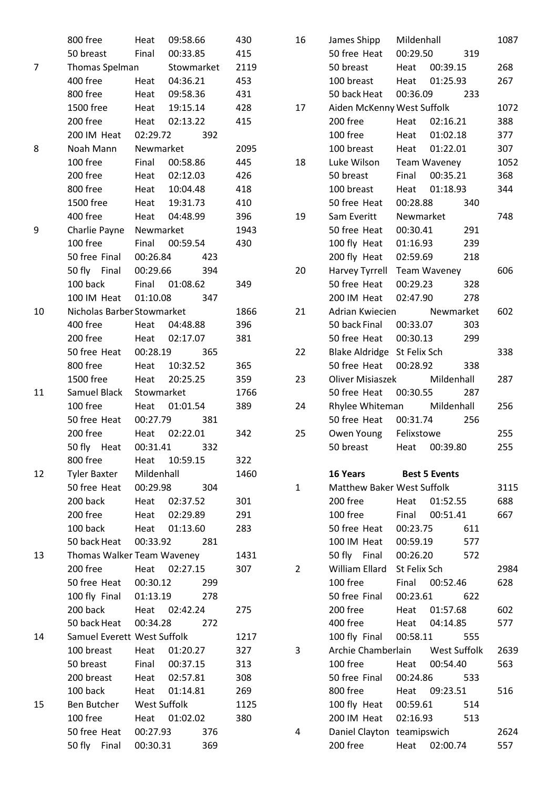|    | 800 free                    | Heat     | 09:58.66      |     | 430  |
|----|-----------------------------|----------|---------------|-----|------|
|    | 50 breast Final 00:33.85    |          |               |     | 415  |
| 7  | Thomas Spelman Stowmarket   |          |               |     | 2119 |
|    | 400 free Heat 04:36.21      |          |               |     | 453  |
|    | 800 free                    |          | Heat 09:58.36 |     | 431  |
|    | 1500 free Heat 19:15.14     |          |               |     | 428  |
|    | 200 free Heat 02:13.22      |          |               |     | 415  |
|    | 200 IM Heat 02:29.72 392    |          |               |     |      |
| 8  | Noah Mann Newmarket         |          |               |     | 2095 |
|    | 100 free Final 00:58.86     |          |               |     | 445  |
|    | 200 free   Heat   02:12.03  |          |               |     | 426  |
|    | 800 free Heat 10:04.48      |          |               |     | 418  |
|    | 1500 free Heat 19:31.73     |          |               |     | 410  |
|    | 400 free  Heat  04:48.99    |          |               |     | 396  |
| 9  | Charlie Payne Newmarket     |          |               |     | 1943 |
|    | 100 free Final 00:59.54     |          |               |     | 430  |
|    | 50 free Final 00:26.84 423  |          |               |     |      |
|    | 50 fly Final 00:29.66       |          |               | 394 |      |
|    | 100 back Final 01:08.62     |          |               |     | 349  |
|    | 100 IM Heat 01:10.08 347    |          |               |     |      |
| 10 | Nicholas Barber Stowmarket  |          |               |     | 1866 |
|    | 400 free Heat 04:48.88      |          |               |     | 396  |
|    | 200 free   Heat   02:17.07  |          |               |     | 381  |
|    | 50 free Heat 00:28.19 365   |          |               |     |      |
|    | 800 free                    |          | Heat 10:32.52 |     | 365  |
|    | 1500 free Heat 20:25.25     |          |               |     | 359  |
| 11 | Samuel Black Stowmarket     |          |               |     | 1766 |
|    | 100 free   Heat   01:01.54  |          |               |     | 389  |
|    | 50 free Heat 00:27.79 381   |          |               |     |      |
|    | 200 free Heat 02:22.01      |          |               |     | 342  |
|    | 50 fly Heat 00:31.41 332    |          |               |     |      |
|    | 800 free                    | Heat     | 10:59.15      |     | 322  |
| 12 | Tyler Baxter Mildenhall     |          |               |     | 1460 |
|    | 50 free Heat 00:29.98       |          |               | 304 |      |
|    | 200 back                    |          | Heat 02:37.52 |     | 301  |
|    | 200 free                    |          | Heat 02:29.89 |     | 291  |
|    | 100 back                    |          | Heat 01:13.60 |     | 283  |
|    | 50 back Heat                | 00:33.92 |               | 281 |      |
| 13 | Thomas Walker Team Waveney  |          |               |     | 1431 |
|    | 200 free                    |          | Heat 02:27.15 |     | 307  |
|    | 50 free Heat 00:30.12       |          |               | 299 |      |
|    | 100 fly Final 01:13.19      |          |               | 278 |      |
|    | 200 back                    |          | Heat 02:42.24 |     | 275  |
|    | 50 back Heat  00:34.28      |          |               | 272 |      |
| 14 | Samuel Everett West Suffolk |          |               |     | 1217 |
|    | 100 breast Heat 01:20.27    |          |               |     | 327  |
|    | 50 breast                   | Final    | 00:37.15      |     | 313  |
|    | 200 breast                  |          | Heat 02:57.81 |     | 308  |
|    | 100 back                    |          | Heat 01:14.81 |     | 269  |
| 15 | Ben Butcher West Suffolk    |          |               |     | 1125 |
|    | 100 free                    |          | Heat 01:02.02 |     | 380  |
|    | 50 free Heat                | 00:27.93 |               | 376 |      |
|    | 50 fly Final                | 00:30.31 |               | 369 |      |
|    |                             |          |               |     |      |

| 16 | James Shipp                       | Mildenhall   |                |     | 1087 |
|----|-----------------------------------|--------------|----------------|-----|------|
|    | 50 free Heat                      | 00:29.50     |                | 319 |      |
|    | 50 breast                         |              | Heat 00:39.15  |     | 268  |
|    | 100 breast                        |              | Heat 01:25.93  |     | 267  |
|    | 50 back Heat                      |              | 00:36.09       | 233 |      |
| 17 | Aiden McKenny West Suffolk        |              |                |     | 1072 |
|    | 200 free                          |              | Heat 02:16.21  |     | 388  |
|    | 100 free                          |              | Heat 01:02.18  |     | 377  |
|    | 100 breast                        |              | Heat 01:22.01  |     | 307  |
| 18 | Luke Wilson                       | Team Waveney |                |     | 1052 |
|    | 50 breast                         |              | Final 00:35.21 |     | 368  |
|    | 100 breast                        |              | Heat 01:18.93  |     | 344  |
|    | 50 free Heat                      | 00:28.88     |                | 340 |      |
| 19 | Sam Everitt                       | Newmarket    |                |     | 748  |
|    | 50 free Heat                      | 00:30.41     |                | 291 |      |
|    | 100 fly Heat 01:16.93             |              |                | 239 |      |
|    | 200 fly Heat 02:59.69 218         |              |                |     |      |
| 20 | Harvey Tyrrell Team Waveney       |              |                |     | 606  |
|    | 50 free Heat                      |              | 00:29.23 328   |     |      |
|    | 200 IM Heat 02:47.90              |              |                | 278 |      |
| 21 | Adrian Kwiecien                   |              | Newmarket      |     | 602  |
|    | 50 back Final 00:33.07            |              |                | 303 |      |
|    | 50 free Heat 00:30.13             |              |                | 299 |      |
| 22 | Blake Aldridge St Felix Sch       |              |                |     | 338  |
|    | 50 free Heat 00:28.92             |              |                | 338 |      |
| 23 | Oliver Misiaszek                  |              | Mildenhall     |     | 287  |
|    | 50 free Heat 00:30.55             |              |                | 287 |      |
| 24 | Rhylee Whiteman Mildenhall        |              |                |     | 256  |
|    | 50 free Heat 00:31.74             |              |                | 256 |      |
| 25 | Owen Young Felixstowe             |              |                |     | 255  |
|    | 50 breast Heat 00:39.80           |              |                |     | 255  |
|    |                                   |              |                |     |      |
|    | 16 Years Best 5 Events            |              |                |     |      |
| 1  | <b>Matthew Baker West Suffolk</b> |              |                |     | 3115 |
|    | 200 free                          | Heat         | 01:52.55       |     | 688  |
|    | 100 free                          |              | Final 00:51.41 |     | 667  |
|    | 50 free Heat                      | 00:23.75     |                | 611 |      |
|    | 100 IM Heat                       | 00:59.19     |                | 577 |      |
|    | 50 fly Final 00:26.20             |              |                | 572 |      |
| 2  | William Ellard St Felix Sch       |              |                |     | 2984 |
|    | 100 free                          | Final        | 00:52.46       |     | 628  |
|    | 50 free Final                     |              | 00:23.61       | 622 |      |
|    | 200 free                          |              | Heat 01:57.68  |     | 602  |
|    | 400 free                          |              | Heat 04:14.85  |     | 577  |
|    | 100 fly Final                     | 00:58.11     |                | 555 |      |
| 3  | Archie Chamberlain West Suffolk   |              |                |     | 2639 |
|    | 100 free                          |              | Heat 00:54.40  |     | 563  |
|    | 50 free Final                     |              | 00:24.86       | 533 |      |
|    | 800 free                          |              | Heat 09:23.51  |     | 516  |
|    | 100 fly Heat 00:59.61             |              |                | 514 |      |
|    | 200 IM Heat 02:16.93              |              |                | 513 |      |
| 4  | Daniel Clayton teamipswich        |              |                |     | 2624 |
|    | 200 free                          |              | Heat 02:00.74  |     | 557  |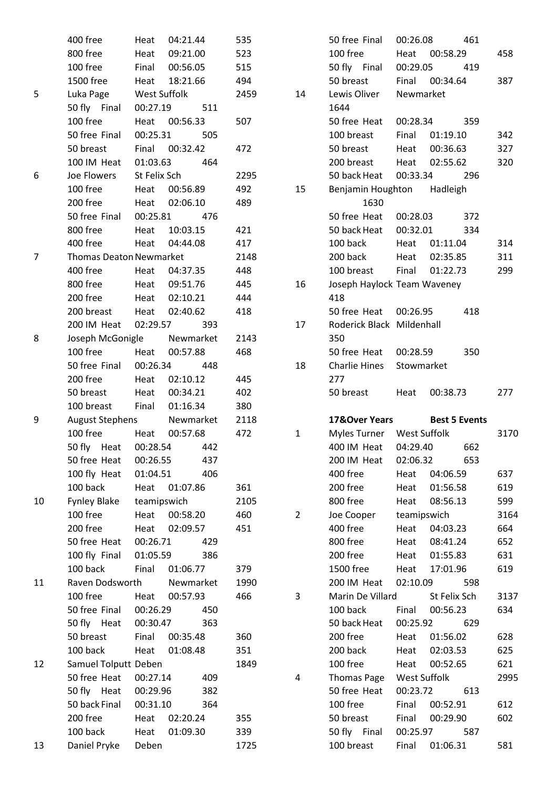|                | 400 free                       | Heat         | 04:21.44  | 535  |                | 50 free Final               | 00:26.08     |                      | 461 |      |
|----------------|--------------------------------|--------------|-----------|------|----------------|-----------------------------|--------------|----------------------|-----|------|
|                | 800 free                       | Heat         | 09:21.00  | 523  |                | 100 free                    | Heat         | 00:58.29             |     | 458  |
|                | 100 free                       | Final        | 00:56.05  | 515  |                | 50 fly Final                | 00:29.05     |                      | 419 |      |
|                | 1500 free                      | Heat         | 18:21.66  | 494  |                | 50 breast                   | Final        | 00:34.64             |     | 387  |
| 5              | Luka Page                      | West Suffolk |           | 2459 | 14             | Lewis Oliver                | Newmarket    |                      |     |      |
|                | 50 fly Final                   | 00:27.19     | 511       |      |                | 1644                        |              |                      |     |      |
|                | 100 free                       | Heat         | 00:56.33  | 507  |                | 50 free Heat                | 00:28.34     |                      | 359 |      |
|                | 50 free Final                  | 00:25.31     | 505       |      |                | 100 breast                  | Final        | 01:19.10             |     | 342  |
|                | 50 breast                      | Final        | 00:32.42  | 472  |                | 50 breast                   | Heat         | 00:36.63             |     | 327  |
|                | 100 IM Heat                    | 01:03.63     | 464       |      |                | 200 breast                  | Heat         | 02:55.62             |     | 320  |
| 6              | Joe Flowers                    | St Felix Sch |           | 2295 |                | 50 back Heat                | 00:33.34     |                      | 296 |      |
|                | 100 free                       | Heat         | 00:56.89  | 492  | 15             | Benjamin Houghton           |              | Hadleigh             |     |      |
|                | 200 free                       | Heat         | 02:06.10  | 489  |                | 1630                        |              |                      |     |      |
|                | 50 free Final                  | 00:25.81     | 476       |      |                | 50 free Heat                | 00:28.03     |                      | 372 |      |
|                | 800 free                       | Heat         | 10:03.15  | 421  |                | 50 back Heat                | 00:32.01     |                      | 334 |      |
|                | 400 free                       | Heat         | 04:44.08  | 417  |                | 100 back                    | Heat         | 01:11.04             |     | 314  |
| $\overline{7}$ | <b>Thomas Deaton Newmarket</b> |              |           | 2148 |                | 200 back                    | Heat         | 02:35.85             |     | 311  |
|                | 400 free                       | Heat         | 04:37.35  | 448  |                | 100 breast                  | Final        | 01:22.73             |     | 299  |
|                | 800 free                       | Heat         | 09:51.76  | 445  | 16             | Joseph Haylock Team Waveney |              |                      |     |      |
|                | 200 free                       | Heat         | 02:10.21  | 444  |                | 418                         |              |                      |     |      |
|                | 200 breast                     | Heat         | 02:40.62  | 418  |                | 50 free Heat                | 00:26.95     |                      | 418 |      |
|                | 200 IM Heat                    | 02:29.57     | 393       |      | 17             | Roderick Black Mildenhall   |              |                      |     |      |
| 8              | Joseph McGonigle               |              | Newmarket | 2143 |                | 350                         |              |                      |     |      |
|                | 100 free                       | Heat         | 00:57.88  | 468  |                | 50 free Heat                | 00:28.59     |                      | 350 |      |
|                | 50 free Final                  | 00:26.34     | 448       |      | 18             | <b>Charlie Hines</b>        | Stowmarket   |                      |     |      |
|                | 200 free                       | Heat         | 02:10.12  | 445  |                | 277                         |              |                      |     |      |
|                | 50 breast                      | Heat         | 00:34.21  | 402  |                | 50 breast                   | Heat         | 00:38.73             |     | 277  |
|                | 100 breast                     | Final        | 01:16.34  | 380  |                |                             |              |                      |     |      |
| 9              | <b>August Stephens</b>         |              | Newmarket | 2118 |                | 17&Over Years               |              | <b>Best 5 Events</b> |     |      |
|                | 100 free                       | Heat         | 00:57.68  | 472  | $\mathbf{1}$   | Myles Turner West Suffolk   |              |                      |     | 3170 |
|                | 50 fly Heat                    | 00:28.54     | 442       |      |                | 400 IM Heat                 | 04:29.40     |                      | 662 |      |
|                | 50 free Heat                   | 00:26.55     | 437       |      |                | 200 IM Heat                 | 02:06.32     |                      | 653 |      |
|                | 100 fly Heat                   | 01:04.51     | 406       |      |                | 400 free                    | Heat         | 04:06.59             |     | 637  |
|                | 100 back                       | Heat         | 01:07.86  | 361  |                | 200 free                    | Heat         | 01:56.58             |     | 619  |
| 10             | <b>Fynley Blake</b>            | teamipswich  |           | 2105 |                | 800 free                    | Heat         | 08:56.13             |     | 599  |
|                | 100 free                       | Heat         | 00:58.20  | 460  | $\overline{2}$ | Joe Cooper                  | teamipswich  |                      |     | 3164 |
|                | 200 free                       | Heat         | 02:09.57  | 451  |                | 400 free                    | Heat         | 04:03.23             |     | 664  |
|                | 50 free Heat                   | 00:26.71     | 429       |      |                | 800 free                    | Heat         | 08:41.24             |     | 652  |
|                | 100 fly Final                  | 01:05.59     | 386       |      |                | 200 free                    | Heat         | 01:55.83             |     | 631  |
|                | 100 back                       | Final        | 01:06.77  | 379  |                | 1500 free                   | Heat         | 17:01.96             |     | 619  |
| 11             | Raven Dodsworth                |              | Newmarket | 1990 |                | 200 IM Heat                 | 02:10.09     |                      | 598 |      |
|                | 100 free                       | Heat         | 00:57.93  | 466  | 3              | Marin De Villard            |              | St Felix Sch         |     | 3137 |
|                | 50 free Final                  | 00:26.29     | 450       |      |                | 100 back                    | Final        | 00:56.23             |     | 634  |
|                | 50 fly Heat                    | 00:30.47     | 363       |      |                | 50 back Heat                | 00:25.92     |                      | 629 |      |
|                | 50 breast                      | Final        | 00:35.48  | 360  |                | 200 free                    | Heat         | 01:56.02             |     | 628  |
|                | 100 back                       | Heat         | 01:08.48  | 351  |                | 200 back                    | Heat         | 02:03.53             |     | 625  |
| 12             | Samuel Tolputt Deben           |              |           | 1849 |                | 100 free                    | Heat         | 00:52.65             |     | 621  |
|                | 50 free Heat                   | 00:27.14     | 409       |      | 4              | <b>Thomas Page</b>          | West Suffolk |                      |     | 2995 |
|                | 50 fly Heat                    | 00:29.96     | 382       |      |                | 50 free Heat                | 00:23.72     |                      | 613 |      |
|                | 50 back Final                  | 00:31.10     | 364       |      |                | 100 free                    | Final        | 00:52.91             |     | 612  |
|                | 200 free                       | Heat         | 02:20.24  | 355  |                | 50 breast                   | Final        | 00:29.90             |     | 602  |
|                | 100 back                       | Heat         | 01:09.30  | 339  |                | 50 fly Final                | 00:25.97     |                      | 587 |      |
| 13             | Daniel Pryke                   | Deben        |           | 1725 |                | 100 breast                  | Final        | 01:06.31             |     | 581  |
|                |                                |              |           |      |                |                             |              |                      |     |      |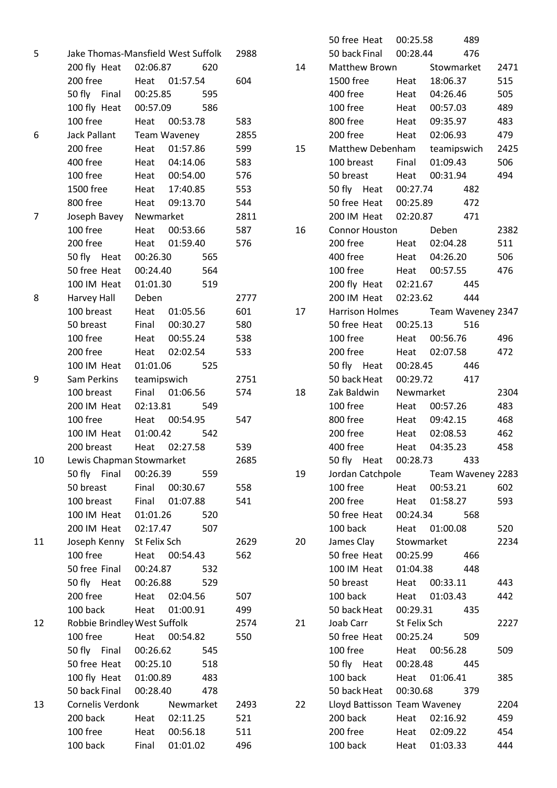| 5  |                              | Jake Thomas-Mansfield West Suffolk | 2988       |
|----|------------------------------|------------------------------------|------------|
|    | 200 fly Heat 02:06.87        | 620                                | 14         |
|    | 200 free                     | Heat 01:57.54                      | 604        |
|    | 50 fly Final 00:25.85        | 595                                |            |
|    | 100 fly Heat 00:57.09        | 586                                |            |
|    | 100 free                     | Heat 00:53.78                      | 583        |
| 6  | Jack Pallant                 | Team Waveney                       | 2855       |
|    | 200 free                     | 01:57.86<br>Heat                   | 15<br>599  |
|    | 400 free                     | Heat 04:14.06                      | 583        |
|    | 100 free                     | Heat 00:54.00                      | 576        |
|    | 1500 free                    | Heat 17:40.85                      | 553        |
|    | 800 free                     | Heat 09:13.70                      | 544        |
| 7  | Joseph Bavey Newmarket       |                                    | 2811       |
|    | 100 free                     | Heat 00:53.66                      | 16<br>587  |
|    | 200 free                     | 01:59.40<br>Heat                   | 576        |
|    | 50 fly Heat 00:26.30         | 565                                |            |
|    | 50 free Heat                 | 00:24.40<br>564                    |            |
|    | 100 IM Heat 01:01.30         | 519                                |            |
| 8  | Harvey Hall                  | Deben                              | 2777       |
|    | 100 breast                   | Heat 01:05.56                      | 601<br>17  |
|    | 50 breast                    | Final 00:30.27                     | 580        |
|    | 100 free                     | Heat 00:55.24                      | 538        |
|    | 200 free                     | Heat 02:02.54                      | 533        |
|    | 100 IM Heat                  | 01:01.06<br>525                    |            |
| 9  | Sam Perkins                  | teamipswich                        | 2751       |
|    | 100 breast                   | Final 01:06.56                     | 574<br>18  |
|    | 200 IM Heat                  | 02:13.81<br>549                    |            |
|    | 100 free                     | Heat 00:54.95                      | 547        |
|    | 100 IM Heat                  | 01:00.42<br>542                    |            |
|    | 200 breast                   | Heat 02:27.58                      | 539        |
| 10 | Lewis Chapman Stowmarket     |                                    | 2685       |
|    | 50 fly Final                 | 00:26.39<br>559                    | 19         |
|    | 50 breast                    | Final 00:30.67                     | 558        |
|    | 100 breast                   | Final<br>01:07.88                  | 541        |
|    | 100 IM Heat                  | 01:01.26<br>520                    |            |
|    | 200 IM Heat 02:17.47         | 507                                |            |
| 11 | Joseph Kenny St Felix Sch    |                                    | 2629<br>20 |
|    | 100 free                     | Heat 00:54.43                      | 562        |
|    | 50 free Final 00:24.87       | 532                                |            |
|    | 50 fly Heat 00:26.88         | 529                                |            |
|    | 200 free                     | Heat 02:04.56                      | 507        |
|    | 100 back                     | Heat 01:00.91                      | 499        |
| 12 | Robbie Brindley West Suffolk |                                    | 2574<br>21 |
|    | 100 free                     | Heat<br>00:54.82                   | 550        |
|    | 50 fly Final 00:26.62        | - 545                              |            |
|    | 50 free Heat 00:25.10        | 518                                |            |
|    | 100 fly Heat 01:00.89        | 483                                |            |
|    | 50 back Final                | 00:28.40<br>478                    |            |
| 13 |                              | Cornelis Verdonk Newmarket         | 22<br>2493 |
|    | 200 back                     | Heat 02:11.25                      | 521        |
|    | 100 free                     | Heat 00:56.18                      | 511        |
|    | 100 back                     | Final 01:01.02                     | 496        |
|    |                              |                                    |            |

|    | 50 free Heat 00:25.58              |            |               | 489   |      |
|----|------------------------------------|------------|---------------|-------|------|
|    | 50 back Final 00:28.44             |            |               | 476   |      |
| 14 | Matthew Brown Stowmarket           |            |               |       | 2471 |
|    | 1500 free Heat 18:06.37            |            |               |       | 515  |
|    | 400 free   Heat   04:26.46         |            |               |       | 505  |
|    | 100 free                           |            | Heat 00:57.03 |       | 489  |
|    | 800 free Heat 09:35.97             |            |               |       | 483  |
|    | 200 free   Heat   02:06.93         |            |               |       | 479  |
| 15 | Matthew Debenham teamipswich       |            |               |       | 2425 |
|    | 100 breast Final 01:09.43          |            |               |       | 506  |
|    | 50 breast Heat 00:31.94            |            |               |       | 494  |
|    | 50 fly Heat 00:27.74 482           |            |               |       |      |
|    | 50 free Heat 00:25.89              |            |               | 472   |      |
|    | 200 IM Heat 02:20.87 471           |            |               |       |      |
| 16 | Connor Houston Deben               |            |               |       | 2382 |
|    | 200 free Heat 02:04.28             |            |               |       | 511  |
|    | 400 free   Heat   04:26.20         |            |               |       | 506  |
|    | 100 free                           |            | Heat 00:57.55 |       | 476  |
|    | 200 fly Heat 02:21.67 445          |            |               |       |      |
|    | 200 IM Heat 02:23.62               |            |               | 444   |      |
| 17 | Harrison Holmes Team Waveney 2347  |            |               |       |      |
|    | 50 free Heat 00:25.13 516          |            |               |       |      |
|    | 100 free                           |            | Heat 00:56.76 |       | 496  |
|    | 200 free Heat 02:07.58             |            |               |       | 472  |
|    | 50 fly Heat 00:28.45 446           |            |               |       |      |
|    | 50 back Heat 00:29.72 417          |            |               |       |      |
| 18 | Zak Baldwin Newmarket              |            |               |       | 2304 |
|    | 100 free                           |            | Heat 00:57.26 |       | 483  |
|    | 800 free Heat 09:42.15             |            |               |       | 468  |
|    | 200 free                           |            | Heat 02:08.53 |       | 462  |
|    | 400 free                           |            | Heat 04:35.23 |       | 458  |
|    | 50 fly Heat                        | 00:28.73   |               | 433   |      |
| 19 | Jordan Catchpole Team Waveney 2283 |            |               |       |      |
|    | 100 free Heat 00:53.21             |            |               |       | 602  |
|    | 200 free                           |            | Heat 01:58.27 |       | 593  |
|    | 50 free Heat                       | 00:24.34   |               | 568   |      |
|    | 100 back                           |            | Heat 01:00.08 |       | 520  |
| 20 | James Clay                         | Stowmarket |               |       | 2234 |
|    | 50 free Heat 00:25.99              |            |               | 466   |      |
|    | 100 IM Heat 01:04.38               |            |               | 448   |      |
|    | 50 breast                          |            | Heat 00:33.11 |       | 443  |
|    | 100 back                           |            | Heat 01:03.43 |       | 442  |
|    | 50 back Heat 00:29.31              |            |               | - 435 |      |
| 21 | Joab Carr St Felix Sch             |            |               |       | 2227 |
|    | 50 free Heat                       | 00:25.24   |               | 509   |      |
|    | 100 free Heat 00:56.28             |            |               |       | 509  |
|    | 50 fly Heat                        |            | 00:28.48 445  |       |      |
|    | 100 back                           |            | Heat 01:06.41 |       | 385  |
|    | 50 back Heat 00:30.68 379          |            |               |       |      |
| 22 | Lloyd Battisson Team Waveney       |            |               |       | 2204 |
|    | 200 back                           |            | Heat 02:16.92 |       | 459  |
|    | 200 free                           |            | Heat 02:09.22 |       | 454  |
|    | 100 back                           |            | Heat 01:03.33 |       | 444  |